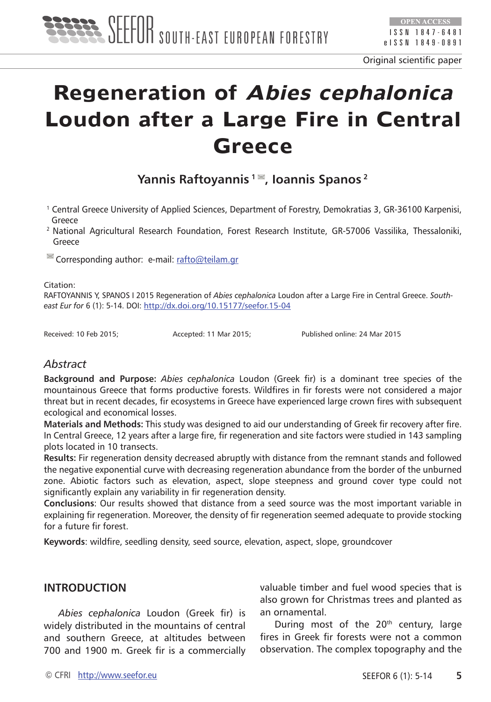

# **Regeneration of Abies cephalonica Loudon after a Large Fire in Central Greece**

**Yannis Raftoyannis**<sup>1</sup> ■, Ioannis Spanos<sup>2</sup>

- 1 Central Greece University of Applied Sciences, Department of Forestry, Demokratias 3, GR-36100 Karpenisi, Greece
- <sup>2</sup> National Agricultural Research Foundation, Forest Research Institute, GR-57006 Vassilika, Thessaloniki, Greece

<sup>■</sup> Corresponding author: e-mail: [rafto@teilam.gr](mailto:rafto@teilam.gr)

Citation:

RAFTOYANNIS Y, SPANOS I 2015 Regeneration of *Abies cephalonica* Loudon after a Large Fire in Central Greece. *Southeast Eur for* 6 (1): 5-14. DOI:<http://dx.doi.org/10.15177/seefor.15-04>

Received: 10 Feb 2015; Accepted: 11 Mar 2015; Published online: 24 Mar 2015

# *Abstract*

**Background and Purpose:** *Abies cephalonica* Loudon (Greek fir) is a dominant tree species of the mountainous Greece that forms productive forests. Wildfires in fir forests were not considered a major threat but in recent decades, fir ecosystems in Greece have experienced large crown fires with subsequent ecological and economical losses.

**Materials and Methods:** This study was designed to aid our understanding of Greek fir recovery after fire. In Central Greece, 12 years after a large fire, fir regeneration and site factors were studied in 143 sampling plots located in 10 transects.

**Results:** Fir regeneration density decreased abruptly with distance from the remnant stands and followed the negative exponential curve with decreasing regeneration abundance from the border of the unburned zone. Abiotic factors such as elevation, aspect, slope steepness and ground cover type could not significantly explain any variability in fir regeneration density.

**Conclusions**: Our results showed that distance from a seed source was the most important variable in explaining fir regeneration. Moreover, the density of fir regeneration seemed adequate to provide stocking for a future fir forest.

**Keywords**: wildfire, seedling density, seed source, elevation, aspect, slope, groundcover

# **INTRODUCTION**

*Abies cephalonica* Loudon (Greek fir) is widely distributed in the mountains of central and southern Greece, at altitudes between 700 and 1900 m. Greek fir is a commercially valuable timber and fuel wood species that is also grown for Christmas trees and planted as an ornamental.

During most of the  $20<sup>th</sup>$  century, large fires in Greek fir forests were not a common observation. The complex topography and the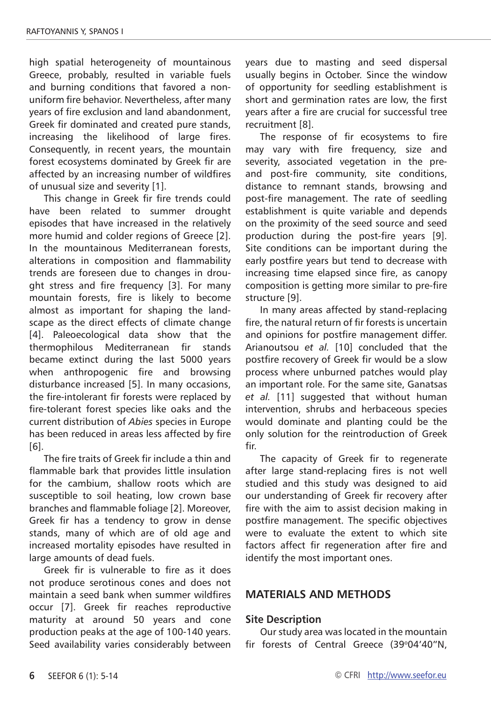high spatial heterogeneity of mountainous Greece, probably, resulted in variable fuels and burning conditions that favored a nonuniform fire behavior. Nevertheless, after many years of fire exclusion and land abandonment, Greek fir dominated and created pure stands, increasing the likelihood of large fires. Consequently, in recent years, the mountain forest ecosystems dominated by Greek fir are affected by an increasing number of wildfires of unusual size and severity [1].

This change in Greek fir fire trends could have been related to summer drought episodes that have increased in the relatively more humid and colder regions of Greece [2]. In the mountainous Mediterranean forests, alterations in composition and flammability trends are foreseen due to changes in drought stress and fire frequency [3]. For many mountain forests, fire is likely to become almost as important for shaping the landscape as the direct effects of climate change [4]. Paleoecological data show that the thermophilous Mediterranean fir stands became extinct during the last 5000 years when anthropogenic fire and browsing disturbance increased [5]. In many occasions, the fire-intolerant fir forests were replaced by fire-tolerant forest species like oaks and the current distribution of *Abies* species in Europe has been reduced in areas less affected by fire [6].

The fire traits of Greek fir include a thin and flammable bark that provides little insulation for the cambium, shallow roots which are susceptible to soil heating, low crown base branches and flammable foliage [2]. Moreover, Greek fir has a tendency to grow in dense stands, many of which are of old age and increased mortality episodes have resulted in large amounts of dead fuels.

Greek fir is vulnerable to fire as it does not produce serotinous cones and does not maintain a seed bank when summer wildfires occur [7]. Greek fir reaches reproductive maturity at around 50 years and cone production peaks at the age of 100-140 years. Seed availability varies considerably between years due to masting and seed dispersal usually begins in October. Since the window of opportunity for seedling establishment is short and germination rates are low, the first years after a fire are crucial for successful tree recruitment [8].

The response of fir ecosystems to fire may vary with fire frequency, size and severity, associated vegetation in the preand post-fire community, site conditions, distance to remnant stands, browsing and post-fire management. The rate of seedling establishment is quite variable and depends on the proximity of the seed source and seed production during the post-fire years [9]. Site conditions can be important during the early postfire years but tend to decrease with increasing time elapsed since fire, as canopy composition is getting more similar to pre-fire structure [9].

In many areas affected by stand-replacing fire, the natural return of fir forests is uncertain and opinions for postfire management differ. Arianoutsou *et al.* [10] concluded that the postfire recovery of Greek fir would be a slow process where unburned patches would play an important role. For the same site, Ganatsas *et al.* [11] suggested that without human intervention, shrubs and herbaceous species would dominate and planting could be the only solution for the reintroduction of Greek fir.

The capacity of Greek fir to regenerate after large stand-replacing fires is not well studied and this study was designed to aid our understanding of Greek fir recovery after fire with the aim to assist decision making in postfire management. The specific objectives were to evaluate the extent to which site factors affect fir regeneration after fire and identify the most important ones.

## **MATERIALS AND METHODS**

#### **Site Description**

Our study area was located in the mountain fir forests of Central Greece (39°04'40"N,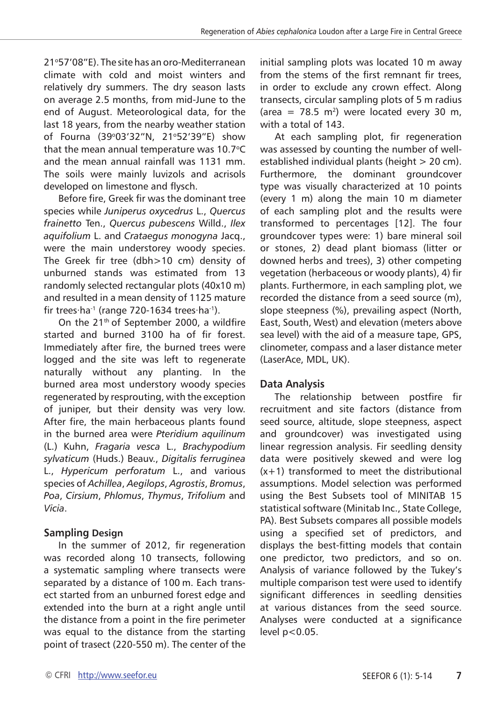21°57'08"E). The site has an oro-Mediterranean climate with cold and moist winters and relatively dry summers. The dry season lasts on average 2.5 months, from mid-June to the end of August. Meteorological data, for the last 18 years, from the nearby weather station of Fourna (39°03'32"N, 21°52'39"E) show that the mean annual temperature was  $10.7^{\circ}$ C and the mean annual rainfall was 1131 mm. The soils were mainly luvizols and acrisols developed on limestone and flysch.

Before fire, Greek fir was the dominant tree species while *Juniperus oxycedrus* L., *Quercus frainetto* Ten., *Quercus pubescens* Willd., *Ilex aquifolium* L. and *Crataegus monogyna* Jacq., were the main understorey woody species. The Greek fir tree (dbh>10 cm) density of unburned stands was estimated from 13 randomly selected rectangular plots (40x10 m) and resulted in a mean density of 1125 mature fir trees∙ha-1 (range 720-1634 trees∙ha-1).

On the 21<sup>th</sup> of September 2000, a wildfire started and burned 3100 ha of fir forest. Immediately after fire, the burned trees were logged and the site was left to regenerate naturally without any planting. In the burned area most understory woody species regenerated by resprouting, with the exception of juniper, but their density was very low. After fire, the main herbaceous plants found in the burned area were *Pteridium aquilinum* (L.) Kuhn, *Fragaria vesca* L., *Brachypodium sylvaticum* (Huds.) Beauv., *Digitalis ferruginea* L., *Hypericum perforatum* L., and various species of *Achillea*, *Aegilops*, *Agrostis*, *Bromus*, *Poa*, *Cirsium*, *Phlomus*, *Thymus*, *Trifolium* and *Vicia*.

# **Sampling Design**

In the summer of 2012, fir regeneration was recorded along 10 transects, following a systematic sampling where transects were separated by a distance of 100 m. Each transect started from an unburned forest edge and extended into the burn at a right angle until the distance from a point in the fire perimeter was equal to the distance from the starting point of trasect (220-550 m). The center of the

initial sampling plots was located 10 m away from the stems of the first remnant fir trees, in order to exclude any crown effect. Along transects, circular sampling plots of 5 m radius (area =  $78.5$  m<sup>2</sup>) were located every 30 m. with a total of 143.

At each sampling plot, fir regeneration was assessed by counting the number of wellestablished individual plants (height > 20 cm). Furthermore, the dominant groundcover type was visually characterized at 10 points (every 1 m) along the main 10 m diameter of each sampling plot and the results were transformed to percentages [12]. The four groundcover types were: 1) bare mineral soil or stones, 2) dead plant biomass (litter or downed herbs and trees), 3) other competing vegetation (herbaceous or woody plants), 4) fir plants. Furthermore, in each sampling plot, we recorded the distance from a seed source (m), slope steepness (%), prevailing aspect (North, East, South, West) and elevation (meters above sea level) with the aid of a measure tape, GPS, clinometer, compass and a laser distance meter (LaserAce, MDL, UK).

# **Data Analysis**

The relationship between postfire fir recruitment and site factors (distance from seed source, altitude, slope steepness, aspect and groundcover) was investigated using linear regression analysis. Fir seedling density data were positively skewed and were log (x+1) transformed to meet the distributional assumptions. Model selection was performed using the Best Subsets tool of MINITAB 15 statistical software (Minitab Inc., State College, PA). Best Subsets compares all possible models using a specified set of predictors, and displays the best-fitting models that contain one predictor, two predictors, and so on. Analysis of variance followed by the Tukey's multiple comparison test were used to identify significant differences in seedling densities at various distances from the seed source. Analyses were conducted at a significance level p<0.05.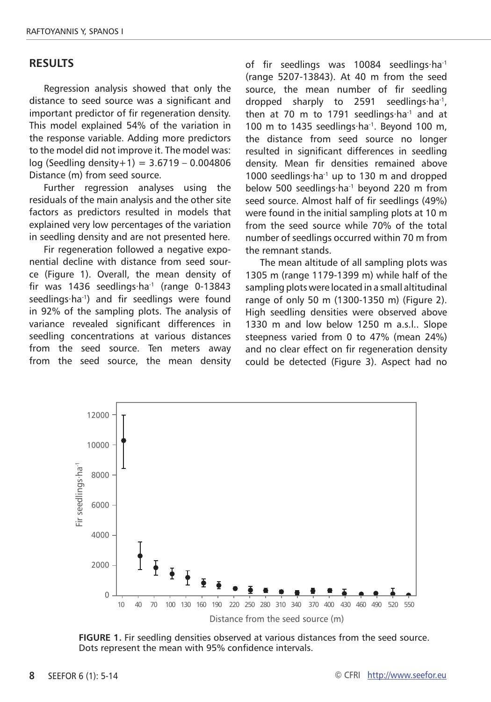#### **RESULTS**

Regression analysis showed that only the distance to seed source was a significant and important predictor of fir regeneration density. This model explained 54% of the variation in the response variable. Adding more predictors to the model did not improve it. The model was: log (Seedling density+1) = 3.6719 – 0.004806 Distance (m) from seed source.

Further regression analyses using the residuals of the main analysis and the other site factors as predictors resulted in models that explained very low percentages of the variation in seedling density and are not presented here.

Fir regeneration followed a negative exponential decline with distance from seed source (Figure 1). Overall, the mean density of fir was 1436 seedlings∙ha-1 (range 0-13843 seedlings∙ha<sup>-1</sup>) and fir seedlings were found in 92% of the sampling plots. The analysis of variance revealed significant differences in seedling concentrations at various distances from the seed source. Ten meters away from the seed source, the mean density of fir seedlings was 10084 seedlings∙ha-1 (range 5207-13843). At 40 m from the seed source, the mean number of fir seedling dropped sharply to 2591 seedlings∙ha-1, then at 70 m to 1791 seedlings∙ha<sup>-1</sup> and at 100 m to 1435 seedlings∙ha-1. Beyond 100 m, the distance from seed source no longer resulted in significant differences in seedling density. Mean fir densities remained above 1000 seedlings∙ha-1 up to 130 m and dropped below 500 seedlings∙ha-1 beyond 220 m from seed source. Almost half of fir seedlings (49%) were found in the initial sampling plots at 10 m from the seed source while 70% of the total number of seedlings occurred within 70 m from the remnant stands.

The mean altitude of all sampling plots was 1305 m (range 1179-1399 m) while half of the sampling plots were located in a small altitudinal range of only 50 m (1300-1350 m) (Figure 2). High seedling densities were observed above 1330 m and low below 1250 m a.s.l.. Slope steepness varied from 0 to 47% (mean 24%) and no clear effect on fir regeneration density could be detected (Figure 3). Aspect had no



**FIGURE 1.** Fir seedling densities observed at various distances from the seed source. Dots represent the mean with 95% confidence intervals.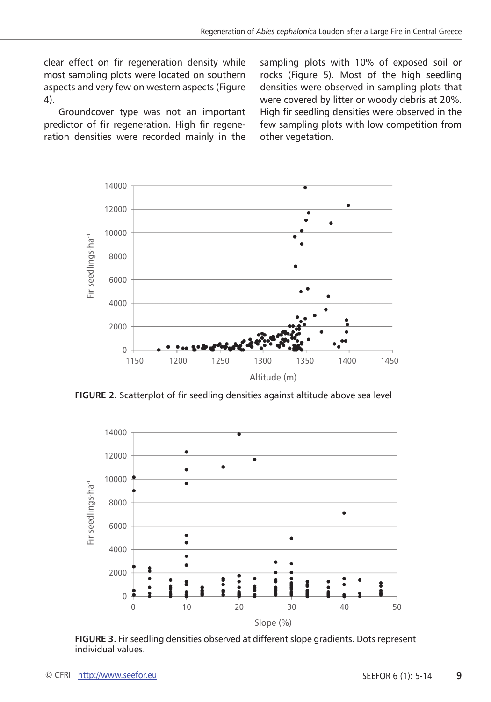clear effect on fir regeneration density while most sampling plots were located on southern aspects and very few on western aspects (Figure 4).

Groundcover type was not an important predictor of fir regeneration. High fir regeneration densities were recorded mainly in the sampling plots with 10% of exposed soil or rocks (Figure 5). Most of the high seedling densities were observed in sampling plots that were covered by litter or woody debris at 20%. High fir seedling densities were observed in the few sampling plots with low competition from other vegetation.



**FIGURE 2.** Scatterplot of fir seedling densities against altitude above sea level



**FIGURE 3.** Fir seedling densities observed at different slope gradients. Dots represent individual values.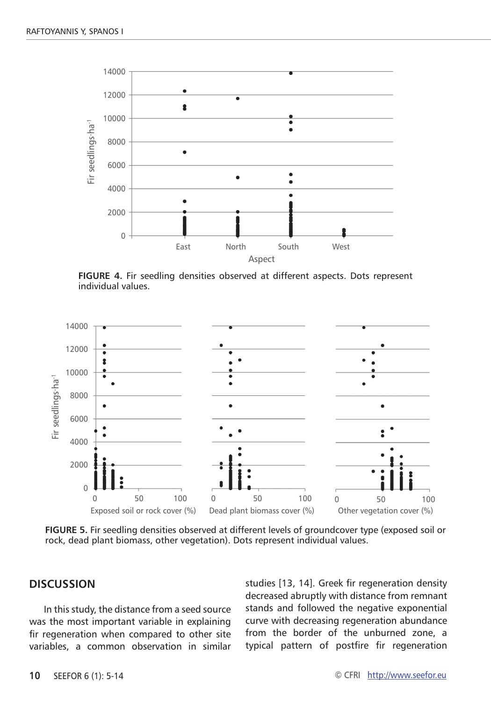

**FIGURE 4.** Fir seedling densities observed at different aspects. Dots represent individual values.



**FIGURE 5.** Fir seedling densities observed at different levels of groundcover type (exposed soil or rock, dead plant biomass, other vegetation). Dots represent individual values.

# **DISCUSSION**

In this study, the distance from a seed source was the most important variable in explaining fir regeneration when compared to other site variables, a common observation in similar studies [13, 14]. Greek fir regeneration density decreased abruptly with distance from remnant stands and followed the negative exponential curve with decreasing regeneration abundance from the border of the unburned zone, a typical pattern of postfire fir regeneration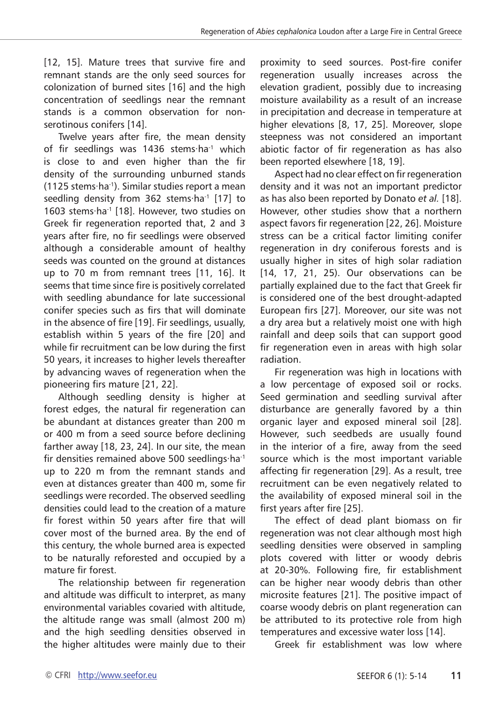[12, 15]. Mature trees that survive fire and remnant stands are the only seed sources for colonization of burned sites [16] and the high concentration of seedlings near the remnant stands is a common observation for nonserotinous conifers [14].

Twelve years after fire, the mean density of fir seedlings was 1436 stems∙ha<sup>-1</sup> which is close to and even higher than the fir density of the surrounding unburned stands (1125 stems∙ha-1). Similar studies report a mean seedling density from 362 stems∙ha<sup>-1</sup> [17] to 1603 stems∙ha-1 [18]. However, two studies on Greek fir regeneration reported that, 2 and 3 years after fire, no fir seedlings were observed although a considerable amount of healthy seeds was counted on the ground at distances up to 70 m from remnant trees [11, 16]. It seems that time since fire is positively correlated with seedling abundance for late successional conifer species such as firs that will dominate in the absence of fire [19]. Fir seedlings, usually, establish within 5 years of the fire [20] and while fir recruitment can be low during the first 50 years, it increases to higher levels thereafter by advancing waves of regeneration when the pioneering firs mature [21, 22].

Although seedling density is higher at forest edges, the natural fir regeneration can be abundant at distances greater than 200 m or 400 m from a seed source before declining farther away [18, 23, 24]. In our site, the mean fir densities remained above 500 seedlings∙ha-1 up to 220 m from the remnant stands and even at distances greater than 400 m, some fir seedlings were recorded. The observed seedling densities could lead to the creation of a mature fir forest within 50 years after fire that will cover most of the burned area. By the end of this century, the whole burned area is expected to be naturally reforested and occupied by a mature fir forest.

The relationship between fir regeneration and altitude was difficult to interpret, as many environmental variables covaried with altitude, the altitude range was small (almost 200 m) and the high seedling densities observed in the higher altitudes were mainly due to their proximity to seed sources. Post-fire conifer regeneration usually increases across the elevation gradient, possibly due to increasing moisture availability as a result of an increase in precipitation and decrease in temperature at higher elevations [8, 17, 25]. Moreover, slope steepness was not considered an important abiotic factor of fir regeneration as has also been reported elsewhere [18, 19].

Aspect had no clear effect on fir regeneration density and it was not an important predictor as has also been reported by Donato *et al.* [18]. However, other studies show that a northern aspect favors fir regeneration [22, 26]. Moisture stress can be a critical factor limiting conifer regeneration in dry coniferous forests and is usually higher in sites of high solar radiation [14, 17, 21, 25). Our observations can be partially explained due to the fact that Greek fir is considered one of the best drought-adapted European firs [27]. Moreover, our site was not a dry area but a relatively moist one with high rainfall and deep soils that can support good fir regeneration even in areas with high solar radiation.

Fir regeneration was high in locations with a low percentage of exposed soil or rocks. Seed germination and seedling survival after disturbance are generally favored by a thin organic layer and exposed mineral soil [28]. However, such seedbeds are usually found in the interior of a fire, away from the seed source which is the most important variable affecting fir regeneration [29]. As a result, tree recruitment can be even negatively related to the availability of exposed mineral soil in the first years after fire [25].

The effect of dead plant biomass on fir regeneration was not clear although most high seedling densities were observed in sampling plots covered with litter or woody debris at 20-30%. Following fire, fir establishment can be higher near woody debris than other microsite features [21]. The positive impact of coarse woody debris on plant regeneration can be attributed to its protective role from high temperatures and excessive water loss [14].

Greek fir establishment was low where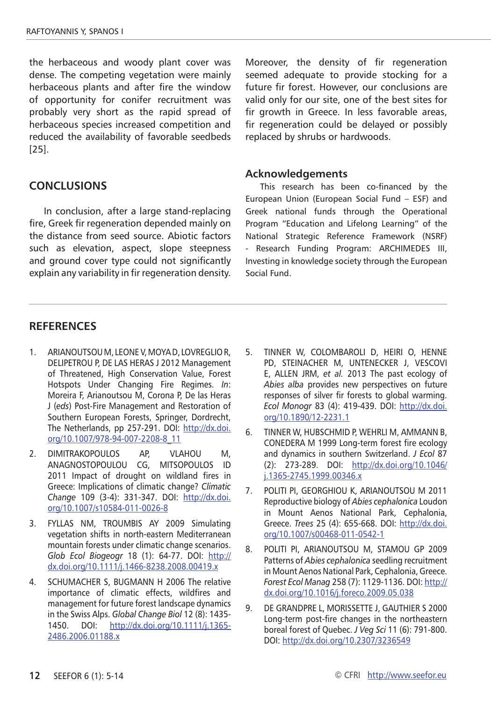the herbaceous and woody plant cover was dense. The competing vegetation were mainly herbaceous plants and after fire the window of opportunity for conifer recruitment was probably very short as the rapid spread of herbaceous species increased competition and reduced the availability of favorable seedbeds [25].

## **CONCLUSIONS**

In conclusion, after a large stand-replacing fire, Greek fir regeneration depended mainly on the distance from seed source. Abiotic factors such as elevation, aspect, slope steepness and ground cover type could not significantly explain any variability in fir regeneration density. Moreover, the density of fir regeneration seemed adequate to provide stocking for a future fir forest. However, our conclusions are valid only for our site, one of the best sites for fir growth in Greece. In less favorable areas, fir regeneration could be delayed or possibly replaced by shrubs or hardwoods.

#### **Acknowledgements**

This research has been co-financed by the European Union (European Social Fund – ESF) and Greek national funds through the Operational Program "Education and Lifelong Learning" of the National Strategic Reference Framework (NSRF) Research Funding Program: ARCHIMEDES III, Investing in knowledge society through the European Social Fund.

## **RefereNces**

- 1. ARIANOUTSOU M, LEONE V, MOYA D, LOVREGLIO R, DELIPETROU P, DE LAS HERAS J 2012 Management of Threatened, High Conservation Value, Forest Hotspots Under Changing Fire Regimes. *In*: Moreira F, Arianoutsou M, Corona P, De las Heras J (*eds*) Post‐Fire Management and Restoration of Southern European Forests, Springer, Dordrecht, The Netherlands, pp 257‐291. DOI: [http://dx.doi.](http://dx.doi.org/10.1007/978-94-007-2208-8_11) [org/10.1007/978-94-007-2208-8\\_11](http://dx.doi.org/10.1007/978-94-007-2208-8_11)
- 2. DIMITRAKOPOULOS AP, VLAHOU M, ANAGNOSTOPOULOU CG, MITSOPOULOS ID 2011 Impact of drought on wildland fires in Greece: Implications of climatic change? *Climatic Change* 109 (3-4): 331-347. DOI: [http://dx.doi.](http://dx.doi.org/10.1007/s10584-011-0026-8) [org/10.1007/s10584-011-0026-8](http://dx.doi.org/10.1007/s10584-011-0026-8)
- 3. FYLLAS NM, TROUMBIS AY 2009 Simulating vegetation shifts in north-eastern Mediterranean mountain forests under climatic change scenarios. *Glob Ecol Biogeogr* 18 (1): 64-77. DOI: [http://](http://dx.doi.org/10.1111/j.1466-8238.2008.00419.x) [dx.doi.org/10.1111/j.1466-8238.2008.00419.x](http://dx.doi.org/10.1111/j.1466-8238.2008.00419.x)
- 4. SCHUMACHER S, BUGMANN H 2006 The relative importance of climatic effects, wildfires and management for future forest landscape dynamics in the Swiss Alps. *Global Change Biol* 12 (8): 1435- 1450. DOI: [http://dx.doi.org/10.1111/j.1365-](http://dx.doi.org/10.1111/j.1365-2486.2006.01188.x) [2486.2006.01188.x](http://dx.doi.org/10.1111/j.1365-2486.2006.01188.x)
- 5. TINNER W, COLOMBAROLI D, HEIRI O, HENNE PD, STEINACHER M, UNTENECKER J, VESCOVI E, ALLEN JRM, *et al.* 2013 The past ecology of *Abies alba* provides new perspectives on future responses of silver fir forests to global warming. *Ecol Monogr* 83 (4): 419-439. DOI: [http://dx.doi.](http://dx.doi.org/10.1890/12-2231.1) [org/10.1890/12-2231.1](http://dx.doi.org/10.1890/12-2231.1)
- 6. TINNER W, HUBSCHMID P, WEHRLI M, AMMANN B, CONEDERA M 1999 Long-term forest fire ecology and dynamics in southern Switzerland. *J Ecol* 87 (2): 273-289. DOI: [http://dx.doi.org/10.1046/](http://dx.doi.org/10.1046/j.1365-2745.1999.00346.x) [j.1365-2745.1999.00346.x](http://dx.doi.org/10.1046/j.1365-2745.1999.00346.x)
- 7. POLITI PI, GEORGHIOU K, ARIANOUTSOU M 2011 Reproductive biology of *Abies cephalonica* Loudon in Mount Aenos National Park, Cephalonia, Greece. *Trees* 25 (4): 655-668. DOI: [http://dx.doi.](http://dx.doi.org/10.1007/s00468-011-0542-1) [org/10.1007/s00468-011-0542-1](http://dx.doi.org/10.1007/s00468-011-0542-1)
- 8. POLITI PI, ARIANOUTSOU M, STAMOU GP 2009 Patterns of *Abies cephalonica* seedling recruitment in Mount Aenos National Park, Cephalonia, Greece. *Forest Ecol Manag* 258 (7): 1129-1136. DOI: [http://](http://dx.doi.org/10.1016/j.foreco.2009.05.038) [dx.doi.org/10.1016/j.foreco.2009.05.038](http://dx.doi.org/10.1016/j.foreco.2009.05.038)
- 9. DE GRANDPRE L, MORISSETTE J, GAUTHIER S 2000 Long-term post-fire changes in the northeastern boreal forest of Quebec. *J Veg Sci* 11 (6): 791-800. DOI:<http://dx.doi.org/10.2307/3236549>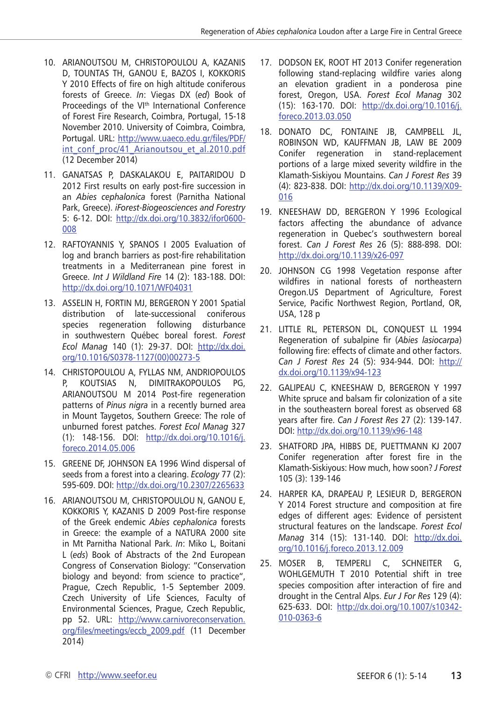- 10. ARIANOUTSOU M, CHRISTOPOULOU A, KAZANIS D, TOUNTAS TH, GANOU E, BAZOS I, KOKKORIS Y 2010 Effects of fire on high altitude coniferous forests of Greece. *In*: Viegas DX (*ed*) Book of Proceedings of the VI<sup>th</sup> International Conference of Forest Fire Research, Coimbra, Portugal, 15-18 November 2010. University of Coimbra, Coimbra, Portugal. URL: [http://www.uaeco.edu.gr/files/PDF/](http://www.uaeco.edu.gr/files/PDF/int_conf_proc/41_Arianoutsou_et_al.2010.pdf) [int\\_conf\\_proc/41\\_Arianoutsou\\_et\\_al.2010.pdf](http://www.uaeco.edu.gr/files/PDF/int_conf_proc/41_Arianoutsou_et_al.2010.pdf) (12 December 2014)
- 11. GANATSAS P, DASKALAKOU E, PAITARIDOU D 2012 First results on early post-fire succession in an *Abies cephalonica* forest (Parnitha National Park, Greece). *iForest-Biogeosciences and Forestry* 5: 6-12. DOI: [http://dx.doi.org/10.3832/ifor0600-](http://dx.doi.org/10.3832/ifor0600-008) [008](http://dx.doi.org/10.3832/ifor0600-008)
- 12. RAFTOYANNIS Y, SPANOS I 2005 Evaluation of log and branch barriers as post-fire rehabilitation treatments in a Mediterranean pine forest in Greece. *Int J Wildland Fire* 14 (2): 183-188. DOI: <http://dx.doi.org/10.1071/WF04031>
- 13. ASSELIN H, FORTIN MJ, BERGERON Y 2001 Spatial distribution of late-successional coniferous species regeneration following disturbance in southwestern Québec boreal forest. *Forest Ecol Manag* 140 (1): 29-37. DOI: [http://dx.doi.](http://dx.doi.org/10.1016/S0378-1127(00)00273-5) [org/10.1016/S0378-1127\(00\)00273-5](http://dx.doi.org/10.1016/S0378-1127(00)00273-5)
- 14. CHRISTOPOULOU A, FYLLAS NM, ANDRIOPOULOS P, KOUTSIAS N, DIMITRAKOPOULOS PG, ARIANOUTSOU M 2014 Post-fire regeneration patterns of *Pinus nigra* in a recently burned area in Mount Taygetos, Southern Greece: The role of unburned forest patches. *Forest Ecol Manag* 327 (1): 148-156. DOI: [http://dx.doi.org/10.1016/j.](http://dx.doi.org/10.1016/j.foreco.2014.05.006) [foreco.2014.05.006](http://dx.doi.org/10.1016/j.foreco.2014.05.006)
- 15. GREENE DF, JOHNSON EA 1996 Wind dispersal of seeds from a forest into a clearing. *Ecology* 77 (2): 595-609. DOI: http://dx.doi.org/10.2307/2265633
- 16. ARIANOUTSOU M, CHRISTOPOULOU N, GANOU E, KOKKORIS Y, KAZANIS D 2009 Post-fire response of the Greek endemic *Abies cephalonica* forests in Greece: the example of a NATURA 2000 site in Mt Parnitha National Park. *In*: Miko L, Boitani L (*eds*) Book of Abstracts of the 2nd European Congress of Conservation Biology: "Conservation biology and beyond: from science to practice", Prague, Czech Republic, 1-5 September 2009. Czech University of Life Sciences, Faculty of Environmental Sciences, Prague, Czech Republic, pp 52. URL: [http://www.carnivoreconservation.](http://www.carnivoreconservation.org/files/meetings/eccb_2009.pdf) [org/files/meetings/eccb\\_2009.pdf](http://www.carnivoreconservation.org/files/meetings/eccb_2009.pdf) (11 December 2014)
- 17. DODSON EK, ROOT HT 2013 Conifer regeneration following stand-replacing wildfire varies along an elevation gradient in a ponderosa pine forest, Oregon, USA. *Forest Ecol Manag* 302 (15): 163-170. DOI: [http://dx.doi.org/10.1016/j.](http://dx.doi.org/10.1016/j.foreco.2013.03.050) [foreco.2013.03.050](http://dx.doi.org/10.1016/j.foreco.2013.03.050)
- 18. DONATO DC, FONTAINE JB, CAMPBELL JL, ROBINSON WD, KAUFFMAN JB, LAW BE 2009 Conifer regeneration in stand-replacement portions of a large mixed severity wildfire in the Klamath-Siskiyou Mountains. *Can J Forest Res* 39 (4): 823-838. DOI: [http://dx.doi.org/10.1139/X09-](http://dx.doi.org/10.1139/X09-016) [016](http://dx.doi.org/10.1139/X09-016)
- 19. KNEESHAW DD, BERGERON Y 1996 Ecological factors affecting the abundance of advance regeneration in Quebec's southwestern boreal forest. *Can J Forest Res* 26 (5): 888-898. DOI: <http://dx.doi.org/10.1139/x26-097>
- 20. JOHNSON CG 1998 Vegetation response after wildfires in national forests of northeastern Oregon.US Department of Agriculture, Forest Service, Pacific Northwest Region, Portland, OR, USA, 128 p
- 21. LITTLE RL, PETERSON DL, CONQUEST LL 1994 Regeneration of subalpine fir (*Abies lasiocarpa*) following fire: effects of climate and other factors. *Can J Forest Res* 24 (5): 934-944. DOI: [http://](http://dx.doi.org/10.1139/x94-123) [dx.doi.org/10.1139/x94-123](http://dx.doi.org/10.1139/x94-123)
- 22. GALIPEAU C, KNEESHAW D, BERGERON Y 1997 White spruce and balsam fir colonization of a site in the southeastern boreal forest as observed 68 years after fire. *Can J Forest Res* 27 (2): 139-147. DOI:<http://dx.doi.org/10.1139/x96-148>
- 23. SHATFORD JPA, HIBBS DE, PUETTMANN KJ 2007 Conifer regeneration after forest fire in the Klamath-Siskiyous: How much, how soon? *J Forest* 105 (3): 139-146
- 24. HARPER KA, DRAPEAU P, LESIEUR D, BERGERON Y 2014 Forest structure and composition at fire edges of different ages: Evidence of persistent structural features on the landscape. *Forest Ecol Manag* 314 (15): 131-140. DOI: [http://dx.doi.](http://dx.doi.org/10.1016/j.foreco.2013.12.009) [org/10.1016/j.foreco.2013.12.009](http://dx.doi.org/10.1016/j.foreco.2013.12.009)
- 25. MOSER B, TEMPERLI C, SCHNEITER G, WOHLGEMUTH T 2010 Potential shift in tree species composition after interaction of fire and drought in the Central Alps. *Eur J For Res* 129 (4): 625-633. DOI: [http://dx.doi.org/10.1007/s10342-](http://dx.doi.org/10.1007/s10342-010-0363-6) [010-0363-6](http://dx.doi.org/10.1007/s10342-010-0363-6)